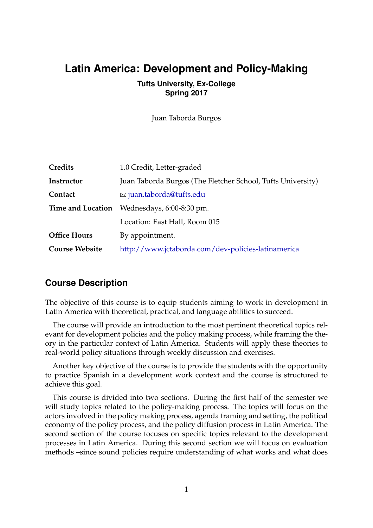## **Latin America: Development and Policy-Making**

#### **Tufts University, Ex-College Spring 2017**

Juan Taborda Burgos

| Credits               | 1.0 Credit, Letter-graded                                   |  |
|-----------------------|-------------------------------------------------------------|--|
| Instructor            | Juan Taborda Burgos (The Fletcher School, Tufts University) |  |
| Contact               | $\boxtimes$ juan.taborda@tufts.edu                          |  |
|                       | <b>Time and Location</b> Wednesdays, 6:00-8:30 pm.          |  |
|                       | Location: East Hall, Room 015                               |  |
| <b>Office Hours</b>   | By appointment.                                             |  |
| <b>Course Website</b> | http://www.jctaborda.com/dev-policies-latinamerica          |  |

#### **Course Description**

The objective of this course is to equip students aiming to work in development in Latin America with theoretical, practical, and language abilities to succeed.

The course will provide an introduction to the most pertinent theoretical topics relevant for development policies and the policy making process, while framing the theory in the particular context of Latin America. Students will apply these theories to real-world policy situations through weekly discussion and exercises.

Another key objective of the course is to provide the students with the opportunity to practice Spanish in a development work context and the course is structured to achieve this goal.

This course is divided into two sections. During the first half of the semester we will study topics related to the policy-making process. The topics will focus on the actors involved in the policy making process, agenda framing and setting, the political economy of the policy process, and the policy diffusion process in Latin America. The second section of the course focuses on specific topics relevant to the development processes in Latin America. During this second section we will focus on evaluation methods –since sound policies require understanding of what works and what does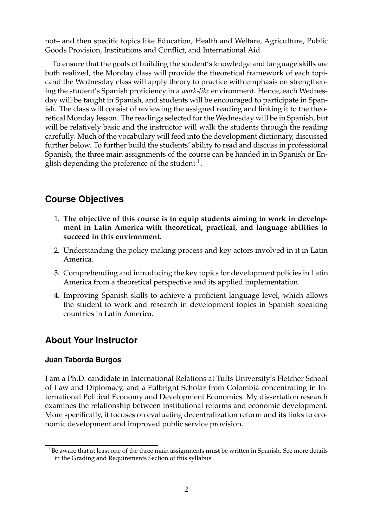not– and then specific topics like Education, Health and Welfare, Agriculture, Public Goods Provision, Institutions and Conflict, and International Aid.

To ensure that the goals of building the student's knowledge and language skills are both realized, the Monday class will provide the theoretical framework of each topicand the Wednesday class will apply theory to practice with emphasis on strengthening the student's Spanish proficiency in a *work-like* environment. Hence, each Wednesday will be taught in Spanish, and students will be encouraged to participate in Spanish. The class will consist of reviewing the assigned reading and linking it to the theoretical Monday lesson. The readings selected for the Wednesday will be in Spanish, but will be relatively basic and the instructor will walk the students through the reading carefully. Much of the vocabulary will feed into the development dictionary, discussed further below. To further build the students' ability to read and discuss in professional Spanish, the three main assignments of the course can be handed in in Spanish or English depending the preference of the student  $^{\rm 1}.$  $^{\rm 1}.$  $^{\rm 1}.$ 

## **Course Objectives**

- 1. **The objective of this course is to equip students aiming to work in development in Latin America with theoretical, practical, and language abilities to succeed in this environment.**
- 2. Understanding the policy making process and key actors involved in it in Latin America.
- 3. Comprehending and introducing the key topics for development policies in Latin America from a theoretical perspective and its applied implementation.
- 4. Improving Spanish skills to achieve a proficient language level, which allows the student to work and research in development topics in Spanish speaking countries in Latin America.

## **About Your Instructor**

#### **Juan Taborda Burgos**

I am a Ph.D. candidate in International Relations at Tufts University's Fletcher School of Law and Diplomacy, and a Fulbright Scholar from Colombia concentrating in International Political Economy and Development Economics. My dissertation research examines the relationship between institutional reforms and economic development. More specifically, it focuses on evaluating decentralization reform and its links to economic development and improved public service provision.

<span id="page-1-0"></span><sup>1</sup>Be aware that at least one of the three main assignments **must** be written in Spanish. See more details in the Grading and Requirements Section of this syllabus.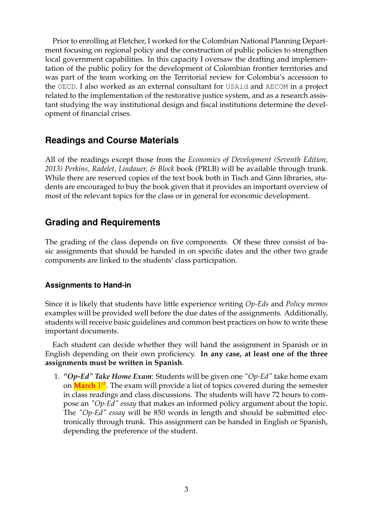Prior to enrolling at Fletcher, I worked for the Colombian National Planning Department focusing on regional policy and the construction of public policies to strengthen local government capabilities. In this capacity I oversaw the drafting and implementation of the public policy for the development of Colombian frontier territories and was part of the team working on the Territorial review for Colombia's accession to the OECD. I also worked as an external consultant for USAid and AECOM in a project related to the implementation of the restorative justice system, and as a research assistant studying the way institutional design and fiscal institutions determine the development of financial crises.

### **Readings and Course Materials**

All of the readings except those from the *Economics of Development (Seventh Edition, 2013) Perkins, Radelet, Lindauer, & Block* book (PRLB) will be available through trunk. While there are reserved copies of the text book both in Tisch and Ginn libraries, students are encouraged to buy the book given that it provides an important overview of most of the relevant topics for the class or in general for economic development.

### **Grading and Requirements**

The grading of the class depends on five components. Of these three consist of basic assignments that should be handed in on specific dates and the other two grade components are linked to the students' class participation.

#### **Assignments to Hand-in**

Since it is likely that students have little experience writing *Op-Eds* and *Policy memos* examples will be provided well before the due dates of the assignments. Additionally, students will receive basic guidelines and common best practices on how to write these important documents.

Each student can decide whether they will hand the assignment in Spanish or in English depending on their own proficiency. **In any case, at least one of the three assignments must be written in Spanish**.

1. *"Op-Ed" Take Home Exam*: Students will be given one *"Op-Ed"* take home exam on **March** 1 *st*. The exam will provide a list of topics covered during the semester in class readings and class discussions. The students will have 72 hours to compose an *"Op-Ed" essay* that makes an informed policy argument about the topic. The *"Op-Ed" essay* will be 850 words in length and should be submitted electronically through trunk. This assignment can be handed in English or Spanish, depending the preference of the student.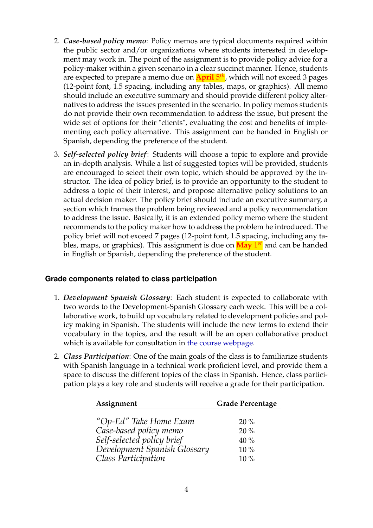- 2. *Case-based policy memo*: Policy memos are typical documents required within the public sector and/or organizations where students interested in development may work in. The point of the assignment is to provide policy advice for a policy-maker within a given scenario in a clear succinct manner. Hence, students are expected to prepare a memo due on **April** 5 *th*, which will not exceed 3 pages (12-point font, 1.5 spacing, including any tables, maps, or graphics). All memo should include an executive summary and should provide different policy alternatives to address the issues presented in the scenario. In policy memos students do not provide their own recommendation to address the issue, but present the wide set of options for their "clients", evaluating the cost and benefits of implementing each policy alternative. This assignment can be handed in English or Spanish, depending the preference of the student.
- 3. *Self-selected policy brief*: Students will choose a topic to explore and provide an in-depth analysis. While a list of suggested topics will be provided, students are encouraged to select their own topic, which should be approved by the instructor. The idea of policy brief, is to provide an opportunity to the student to address a topic of their interest, and propose alternative policy solutions to an actual decision maker. The policy brief should include an executive summary, a section which frames the problem being reviewed and a policy recommendation to address the issue. Basically, it is an extended policy memo where the student recommends to the policy maker how to address the problem he introduced. The policy brief will not exceed 7 pages (12-point font, 1.5 spacing, including any tables, maps, or graphics). This assignment is due on **May** 1 *st* and can be handed in English or Spanish, depending the preference of the student.

#### **Grade components related to class participation**

- 1. *Development Spanish Glossary*: Each student is expected to collaborate with two words to the Development-Spanish Glossary each week. This will be a collaborative work, to build up vocabulary related to development policies and policy making in Spanish. The students will include the new terms to extend their vocabulary in the topics, and the result will be an open collaborative product which is available for consultation in [the course webpage.](http://www.jctaborda.com/dev-policies-latinamerica)
- 2. *Class Participation*: One of the main goals of the class is to familiarize students with Spanish language in a technical work proficient level, and provide them a space to discuss the different topics of the class in Spanish. Hence, class participation plays a key role and students will receive a grade for their participation.

| Assignment                                           | <b>Grade Percentage</b> |
|------------------------------------------------------|-------------------------|
|                                                      |                         |
| "Op-Ed" Take Home Exam                               | $20\%$                  |
|                                                      | $20\%$                  |
| Case-based policy memo<br>Self-selected policy brief | 40%                     |
| Development Spanish Glossary                         | $10\%$                  |
| Class Participation                                  | $10\%$                  |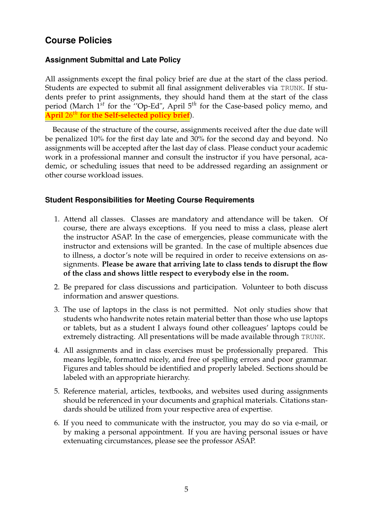## **Course Policies**

#### **Assignment Submittal and Late Policy**

All assignments except the final policy brief are due at the start of the class period. Students are expected to submit all final assignment deliverables via TRUNK. If students prefer to print assignments, they should hand them at the start of the class period (March 1*st* for the ''Op-Ed", April 5*th* for the Case-based policy memo, and **April** 26*th* **for the Self-selected policy brief**).

Because of the structure of the course, assignments received after the due date will be penalized 10% for the first day late and 30% for the second day and beyond. No assignments will be accepted after the last day of class. Please conduct your academic work in a professional manner and consult the instructor if you have personal, academic, or scheduling issues that need to be addressed regarding an assignment or other course workload issues.

#### **Student Responsibilities for Meeting Course Requirements**

- 1. Attend all classes. Classes are mandatory and attendance will be taken. Of course, there are always exceptions. If you need to miss a class, please alert the instructor ASAP. In the case of emergencies, please communicate with the instructor and extensions will be granted. In the case of multiple absences due to illness, a doctor's note will be required in order to receive extensions on assignments. **Please be aware that arriving late to class tends to disrupt the flow of the class and shows little respect to everybody else in the room.**
- 2. Be prepared for class discussions and participation. Volunteer to both discuss information and answer questions.
- 3. The use of laptops in the class is not permitted. Not only studies show that students who handwrite notes retain material better than those who use laptops or tablets, but as a student I always found other colleagues' laptops could be extremely distracting. All presentations will be made available through TRUNK.
- 4. All assignments and in class exercises must be professionally prepared. This means legible, formatted nicely, and free of spelling errors and poor grammar. Figures and tables should be identified and properly labeled. Sections should be labeled with an appropriate hierarchy.
- 5. Reference material, articles, textbooks, and websites used during assignments should be referenced in your documents and graphical materials. Citations standards should be utilized from your respective area of expertise.
- 6. If you need to communicate with the instructor, you may do so via e-mail, or by making a personal appointment. If you are having personal issues or have extenuating circumstances, please see the professor ASAP.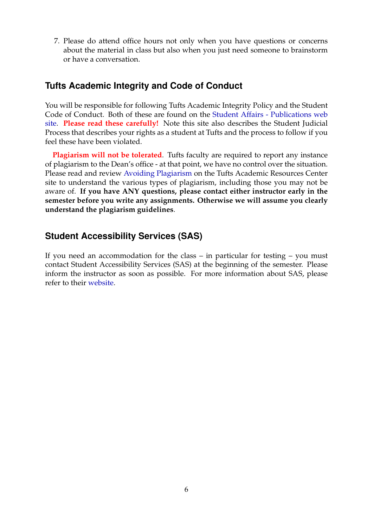7. Please do attend office hours not only when you have questions or concerns about the material in class but also when you just need someone to brainstorm or have a conversation.

## **Tufts Academic Integrity and Code of Conduct**

You will be responsible for following Tufts Academic Integrity Policy and the Student Code of Conduct. Both of these are found on the [Student Affairs - Publications web](http://students.tufts.edu/student-affairs) [site.](http://students.tufts.edu/student-affairs) **Please read these carefully!** Note this site also describes the Student Judicial Process that describes your rights as a student at Tufts and the process to follow if you feel these have been violated.

**Plagiarism will not be tolerated**. Tufts faculty are required to report any instance of plagiarism to the Dean's office - at that point, we have no control over the situation. Please read and review [Avoiding Plagiarism](http://students.tufts.edu/academic-advice-and-support/academic-resource-center/what-we-offer/writing-support/avoiding) on the Tufts Academic Resources Center site to understand the various types of plagiarism, including those you may not be aware of. **If you have ANY questions, please contact either instructor early in the semester before you write any assignments. Otherwise we will assume you clearly understand the plagiarism guidelines**.

## **Student Accessibility Services (SAS)**

If you need an accommodation for the class – in particular for testing – you must contact Student Accessibility Services (SAS) at the beginning of the semester. Please inform the instructor as soon as possible. For more information about SAS, please refer to their [website.](http://students.tufts.edu/student-accessibility-services)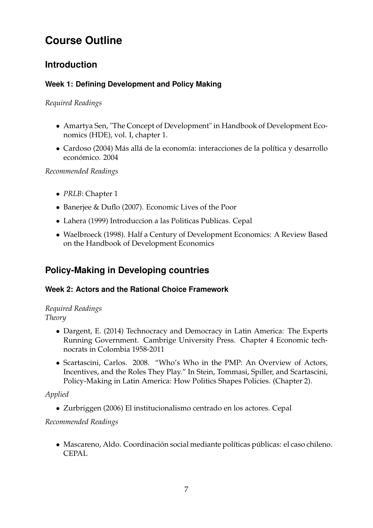# **Course Outline**

## **Introduction**

## **Week 1: Defining Development and Policy Making**

### *Required Readings*

- Amartya Sen, "The Concept of Development" in Handbook of Development Economics (HDE), vol. I, chapter 1.
- Cardoso (2004) Más allá de la economía: interacciones de la política y desarrollo económico. 2004

*Recommended Readings*

- *PRLB*: Chapter 1
- Banerjee & Duflo (2007). Economic Lives of the Poor
- Lahera (1999) Introduccion a las Politicas Publicas. Cepal
- Waelbroeck (1998). Half a Century of Development Economics: A Review Based on the Handbook of Development Economics

## **Policy-Making in Developing countries**

## **Week 2: Actors and the Rational Choice Framework**

## *Required Readings*

*Theory*

- Dargent, E. (2014) Technocracy and Democracy in Latin America: The Experts Running Government. Cambrige University Press. Chapter 4 Economic technocrats in Colombia 1958-2011
- Scartascini, Carlos. 2008. "Who's Who in the PMP: An Overview of Actors, Incentives, and the Roles They Play." In Stein, Tommasi, Spiller, and Scartascini, Policy-Making in Latin America: How Politics Shapes Policies. (Chapter 2).

## *Applied*

• Zurbriggen (2006) El institucionalismo centrado en los actores. Cepal

## *Recommended Readings*

• Mascareno, Aldo. Coordinación social mediante políticas públicas: el caso chileno. **CEPAL**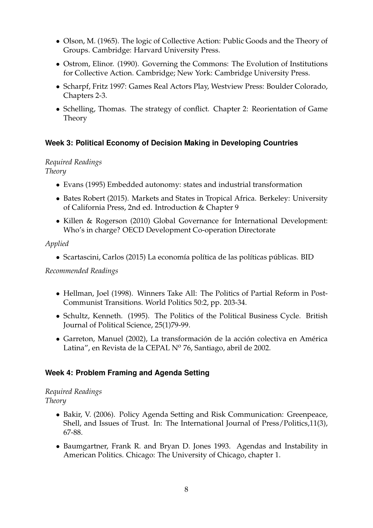- Olson, M. (1965). The logic of Collective Action: Public Goods and the Theory of Groups. Cambridge: Harvard University Press.
- Ostrom, Elinor. (1990). Governing the Commons: The Evolution of Institutions for Collective Action. Cambridge; New York: Cambridge University Press.
- Scharpf, Fritz 1997: Games Real Actors Play, Westview Press: Boulder Colorado, Chapters 2-3.
- Schelling, Thomas. The strategy of conflict. Chapter 2: Reorientation of Game Theory

#### **Week 3: Political Economy of Decision Making in Developing Countries**

#### *Required Readings Theory*

- Evans (1995) Embedded autonomy: states and industrial transformation
- Bates Robert (2015). Markets and States in Tropical Africa. Berkeley: University of California Press, 2nd ed. Introduction & Chapter 9
- Killen & Rogerson (2010) Global Governance for International Development: Who's in charge? OECD Development Co-operation Directorate

#### *Applied*

• Scartascini, Carlos (2015) La economía política de las políticas públicas. BID

#### *Recommended Readings*

- Hellman, Joel (1998). Winners Take All: The Politics of Partial Reform in Post-Communist Transitions. World Politics 50:2, pp. 203-34.
- Schultz, Kenneth. (1995). The Politics of the Political Business Cycle. British Journal of Political Science, 25(1)79-99.
- Garreton, Manuel (2002), La transformación de la acción colectiva en América Latina", en Revista de la CEPAL Nº 76, Santiago, abril de 2002.

#### **Week 4: Problem Framing and Agenda Setting**

#### *Required Readings Theory*

- Bakir, V. (2006). Policy Agenda Setting and Risk Communication: Greenpeace, Shell, and Issues of Trust. In: The International Journal of Press/Politics,11(3), 67-88.
- Baumgartner, Frank R. and Bryan D. Jones 1993. Agendas and Instability in American Politics. Chicago: The University of Chicago, chapter 1.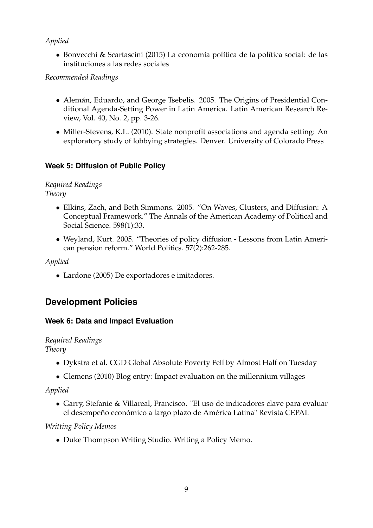## *Applied*

• Bonvecchi & Scartascini (2015) La economía política de la política social: de las instituciones a las redes sociales

*Recommended Readings*

- Alemán, Eduardo, and George Tsebelis. 2005. The Origins of Presidential Conditional Agenda-Setting Power in Latin America. Latin American Research Review, Vol. 40, No. 2, pp. 3-26.
- Miller-Stevens, K.L. (2010). State nonprofit associations and agenda setting: An exploratory study of lobbying strategies. Denver. University of Colorado Press

## **Week 5: Diffusion of Public Policy**

#### *Required Readings Theory*

- Elkins, Zach, and Beth Simmons. 2005. "On Waves, Clusters, and Diffusion: A Conceptual Framework." The Annals of the American Academy of Political and Social Science. 598(1):33.
- Weyland, Kurt. 2005. "Theories of policy diffusion Lessons from Latin American pension reform." World Politics. 57(2):262-285.

*Applied*

• Lardone (2005) De exportadores e imitadores.

## **Development Policies**

## **Week 6: Data and Impact Evaluation**

#### *Required Readings Theory*

- Dykstra et al. CGD Global Absolute Poverty Fell by Almost Half on Tuesday
- Clemens (2010) Blog entry: Impact evaluation on the millennium villages

*Applied*

• Garry, Stefanie & Villareal, Francisco. "El uso de indicadores clave para evaluar el desempeño económico a largo plazo de América Latina" Revista CEPAL

## *Writting Policy Memos*

• Duke Thompson Writing Studio. Writing a Policy Memo.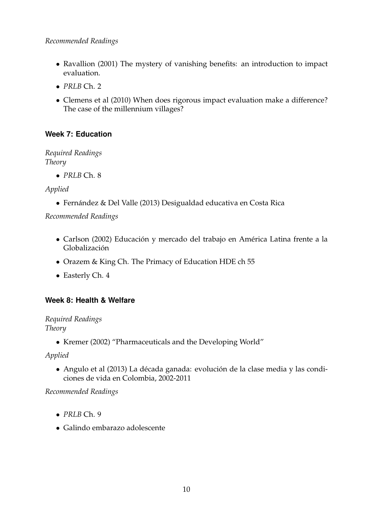- Ravallion (2001) The mystery of vanishing benefits: an introduction to impact evaluation.
- *PRLB* Ch. 2
- Clemens et al (2010) When does rigorous impact evaluation make a difference? The case of the millennium villages?

## **Week 7: Education**

*Required Readings Theory*

• *PRLB* Ch. 8

## *Applied*

• Fernández & Del Valle (2013) Desigualdad educativa en Costa Rica

*Recommended Readings*

- Carlson (2002) Educación y mercado del trabajo en América Latina frente a la Globalización
- Orazem & King Ch. The Primacy of Education HDE ch 55
- Easterly Ch. 4

## **Week 8: Health & Welfare**

*Required Readings Theory*

• Kremer (2002) "Pharmaceuticals and the Developing World"

*Applied*

• Angulo et al (2013) La década ganada: evolución de la clase media y las condiciones de vida en Colombia, 2002-2011

*Recommended Readings*

- *PRLB* Ch. 9
- Galindo embarazo adolescente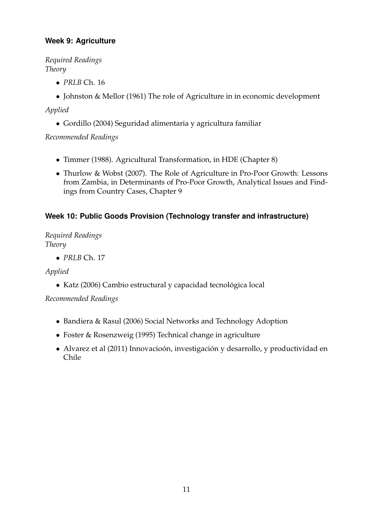## **Week 9: Agriculture**

*Required Readings Theory*

- *PRLB* Ch. 16
- Johnston & Mellor (1961) The role of Agriculture in in economic development

*Applied*

• Gordillo (2004) Seguridad alimentaria y agricultura familiar

*Recommended Readings*

- Timmer (1988). Agricultural Transformation, in HDE (Chapter 8)
- Thurlow & Wobst (2007). The Role of Agriculture in Pro-Poor Growth: Lessons from Zambia, in Determinants of Pro-Poor Growth, Analytical Issues and Findings from Country Cases, Chapter 9

## **Week 10: Public Goods Provision (Technology transfer and infrastructure)**

*Required Readings Theory*

• *PRLB* Ch. 17

*Applied*

• Katz (2006) Cambio estructural y capacidad tecnológica local

*Recommended Readings*

- Bandiera & Rasul (2006) Social Networks and Technology Adoption
- Foster & Rosenzweig (1995) Technical change in agriculture
- Alvarez et al (2011) Innovacioón, investigación y desarrollo, y productividad en Chile